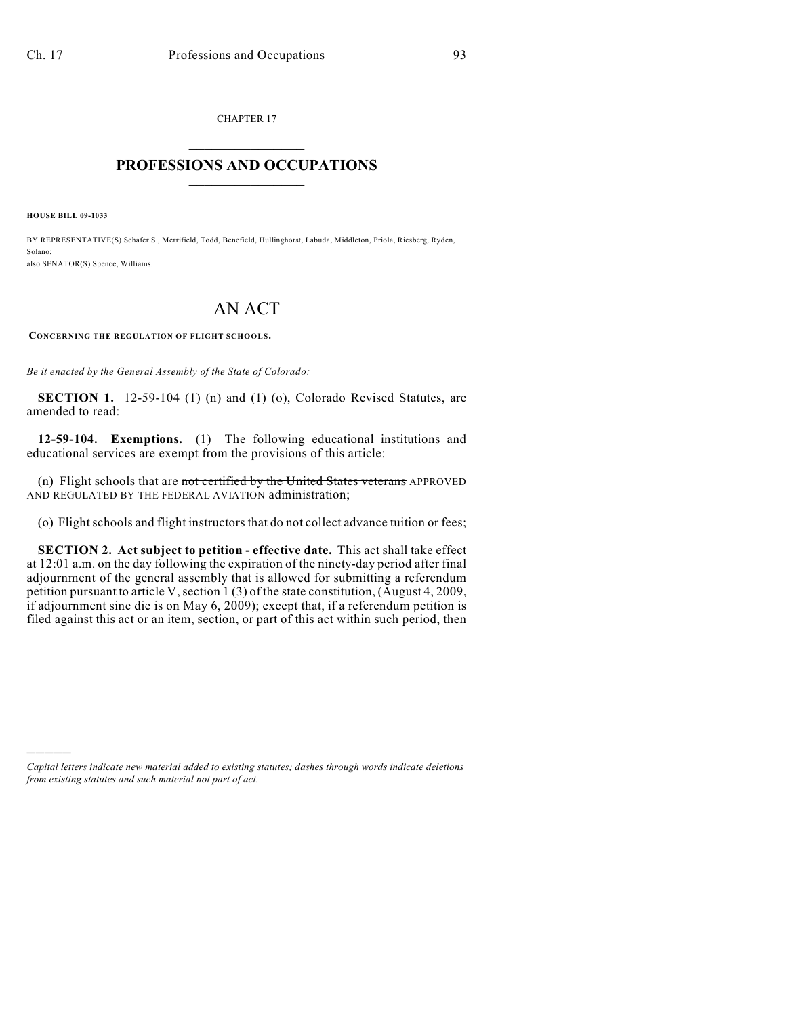CHAPTER 17  $\overline{\phantom{a}}$  . The set of the set of the set of the set of the set of the set of the set of the set of the set of the set of the set of the set of the set of the set of the set of the set of the set of the set of the set o

## **PROFESSIONS AND OCCUPATIONS**  $\frac{1}{2}$  ,  $\frac{1}{2}$  ,  $\frac{1}{2}$  ,  $\frac{1}{2}$  ,  $\frac{1}{2}$  ,  $\frac{1}{2}$

**HOUSE BILL 09-1033**

)))))

BY REPRESENTATIVE(S) Schafer S., Merrifield, Todd, Benefield, Hullinghorst, Labuda, Middleton, Priola, Riesberg, Ryden, Solano; also SENATOR(S) Spence, Williams.

## AN ACT

**CONCERNING THE REGULATION OF FLIGHT SCHOOLS.**

*Be it enacted by the General Assembly of the State of Colorado:*

**SECTION 1.** 12-59-104 (1) (n) and (1) (o), Colorado Revised Statutes, are amended to read:

**12-59-104. Exemptions.** (1) The following educational institutions and educational services are exempt from the provisions of this article:

(n) Flight schools that are not certified by the United States veterans APPROVED AND REGULATED BY THE FEDERAL AVIATION administration;

## (o) Flight schools and flight instructors that do not collect advance tuition or fees;

**SECTION 2. Act subject to petition - effective date.** This act shall take effect at 12:01 a.m. on the day following the expiration of the ninety-day period after final adjournment of the general assembly that is allowed for submitting a referendum petition pursuant to article V, section 1 (3) of the state constitution, (August 4, 2009, if adjournment sine die is on May 6, 2009); except that, if a referendum petition is filed against this act or an item, section, or part of this act within such period, then

*Capital letters indicate new material added to existing statutes; dashes through words indicate deletions from existing statutes and such material not part of act.*